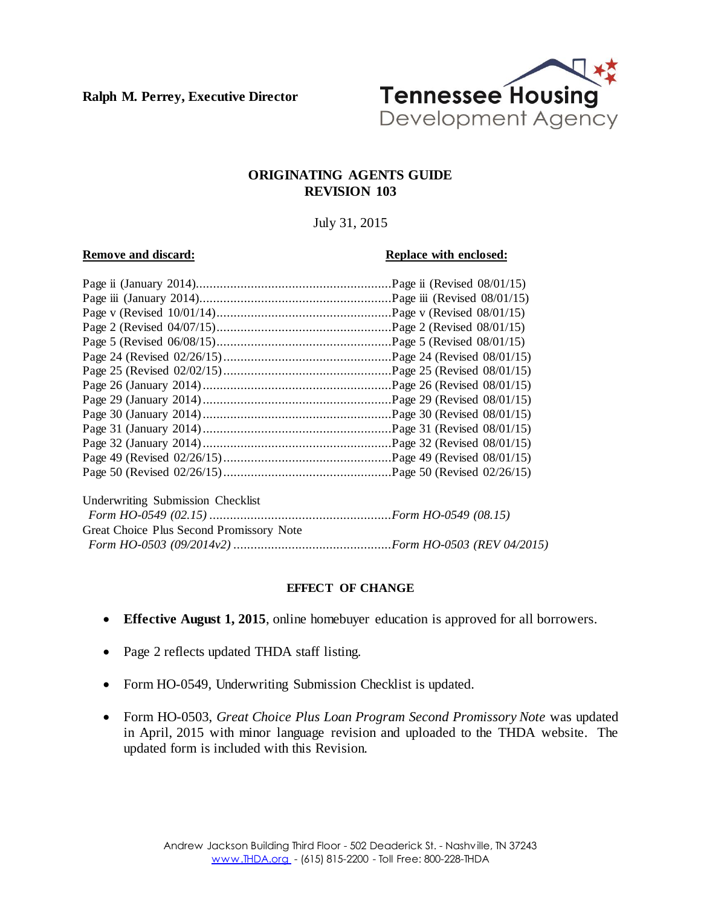**Ralph M. Perrey, Executive Director**



#### **ORIGINATING AGENTS GUIDE REVISION 103**

July 31, 2015

#### **Remove and discard: Replace with enclosed: Replace with enclosed:**

|                                          | $Page$ ii (Revised 08/01/15)  |
|------------------------------------------|-------------------------------|
|                                          |                               |
|                                          | Page v (Revised $08/01/15$ )  |
|                                          |                               |
|                                          | Page 5 (Revised $08/01/15$ )  |
|                                          |                               |
|                                          |                               |
|                                          | Page 26 (Revised $08/01/15$ ) |
|                                          |                               |
|                                          |                               |
|                                          |                               |
|                                          |                               |
|                                          |                               |
|                                          |                               |
| Underwriting Submission Checklist        |                               |
|                                          |                               |
| Great Choice Plus Second Promissory Note |                               |
|                                          |                               |

#### **EFFECT OF CHANGE**

- **Effective August 1, 2015**, online homebuyer education is approved for all borrowers.
- Page 2 reflects updated THDA staff listing.
- Form HO-0549, Underwriting Submission Checklist is updated.
- Form HO-0503, *Great Choice Plus Loan Program Second Promissory Note* was updated in April, 2015 with minor language revision and uploaded to the THDA website. The updated form is included with this Revision.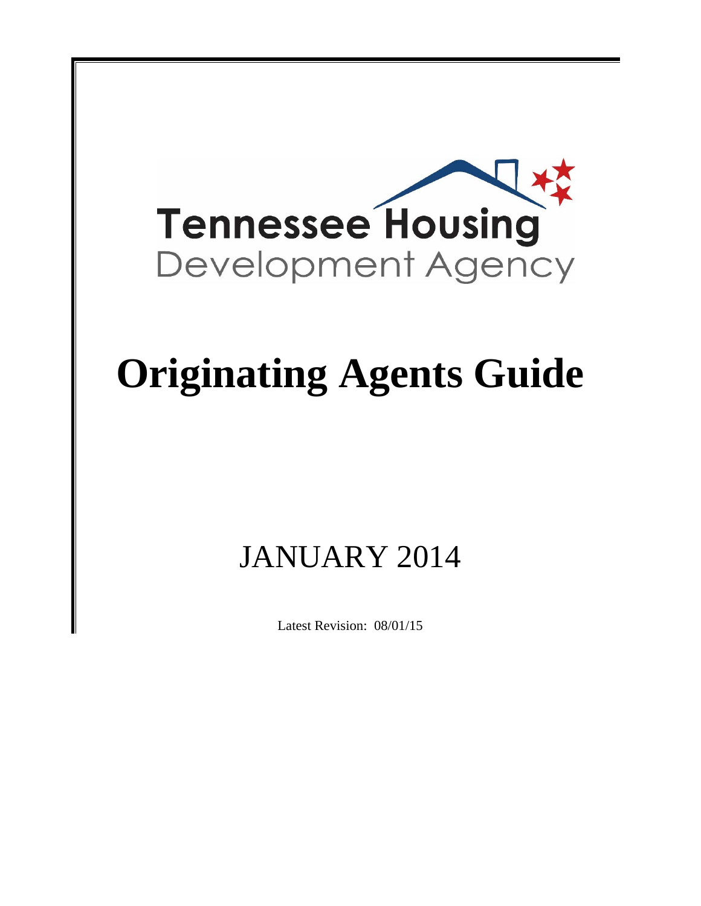

# **Originating Agents Guide**

## JANUARY 2014

Latest Revision: 08/01/15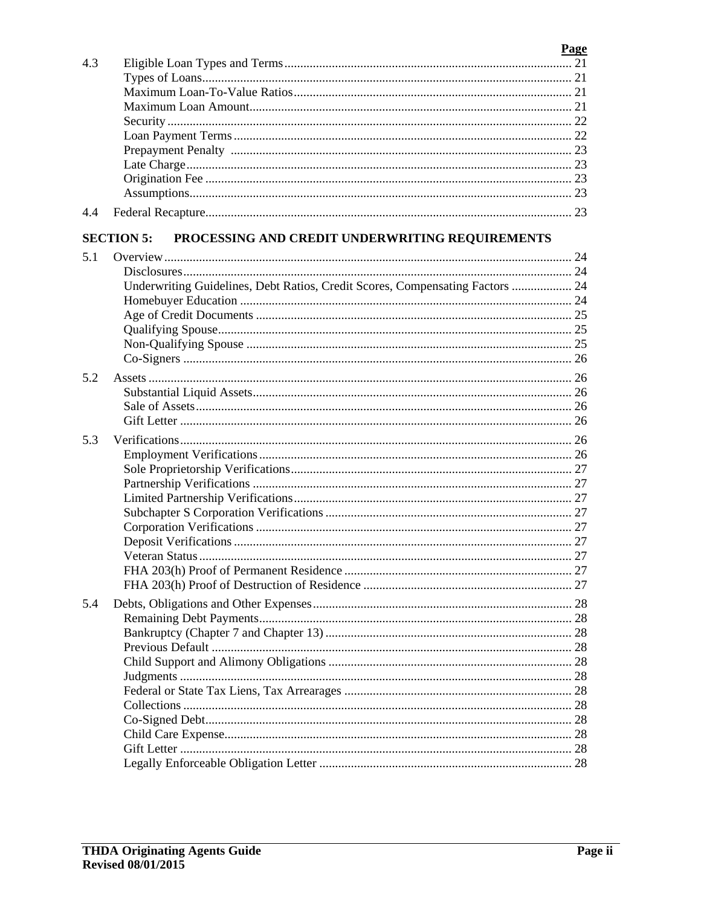|     |                                                                               | <b>Page</b> |
|-----|-------------------------------------------------------------------------------|-------------|
| 4.3 |                                                                               |             |
|     |                                                                               |             |
|     |                                                                               |             |
|     |                                                                               |             |
|     |                                                                               |             |
|     |                                                                               |             |
|     |                                                                               |             |
|     |                                                                               |             |
|     |                                                                               |             |
|     |                                                                               |             |
| 4.4 |                                                                               |             |
|     |                                                                               |             |
|     | PROCESSING AND CREDIT UNDERWRITING REQUIREMENTS<br><b>SECTION 5:</b>          |             |
| 5.1 |                                                                               |             |
|     |                                                                               |             |
|     | Underwriting Guidelines, Debt Ratios, Credit Scores, Compensating Factors  24 |             |
|     |                                                                               |             |
|     |                                                                               |             |
|     |                                                                               |             |
|     |                                                                               |             |
|     |                                                                               |             |
| 5.2 |                                                                               |             |
|     |                                                                               |             |
|     |                                                                               |             |
|     |                                                                               |             |
| 5.3 |                                                                               |             |
|     |                                                                               |             |
|     |                                                                               |             |
|     |                                                                               |             |
|     |                                                                               |             |
|     |                                                                               |             |
|     |                                                                               |             |
|     |                                                                               |             |
|     | Veteran Status                                                                |             |
|     |                                                                               |             |
|     |                                                                               |             |
|     |                                                                               |             |
| 5.4 |                                                                               |             |
|     |                                                                               |             |
|     |                                                                               |             |
|     |                                                                               |             |
|     |                                                                               |             |
|     |                                                                               |             |
|     |                                                                               |             |
|     |                                                                               |             |
|     |                                                                               |             |
|     |                                                                               |             |
|     |                                                                               |             |
|     |                                                                               |             |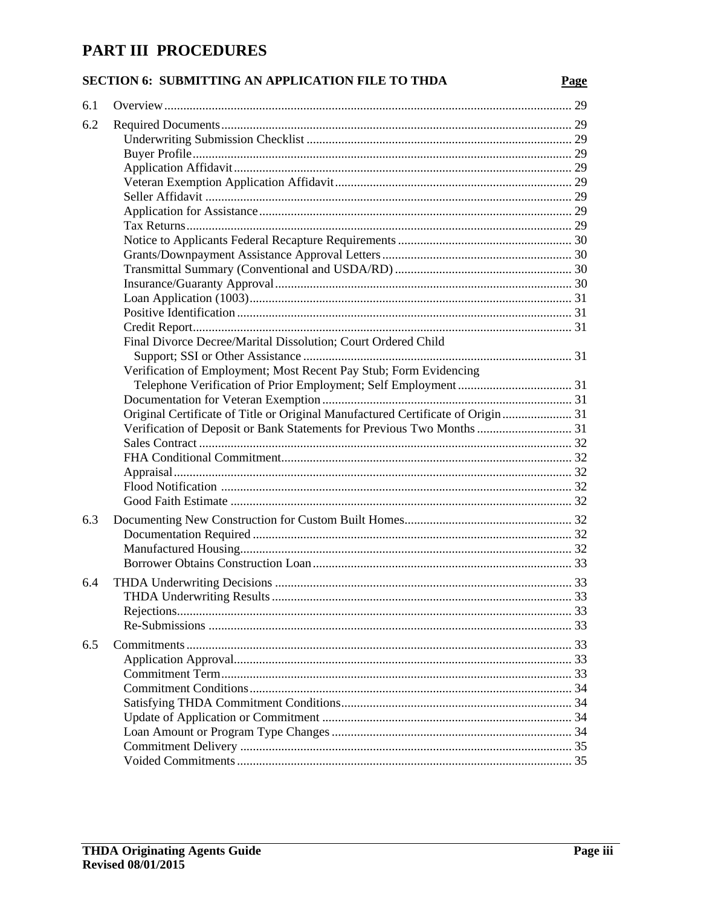### PART III PROCEDURES

#### SECTION 6: SUBMITTING AN APPLICATION FILE TO THDA

| 6.1 |                                                                                  |  |
|-----|----------------------------------------------------------------------------------|--|
| 6.2 |                                                                                  |  |
|     |                                                                                  |  |
|     |                                                                                  |  |
|     |                                                                                  |  |
|     |                                                                                  |  |
|     |                                                                                  |  |
|     |                                                                                  |  |
|     |                                                                                  |  |
|     |                                                                                  |  |
|     |                                                                                  |  |
|     |                                                                                  |  |
|     |                                                                                  |  |
|     |                                                                                  |  |
|     |                                                                                  |  |
|     |                                                                                  |  |
|     | Final Divorce Decree/Marital Dissolution; Court Ordered Child                    |  |
|     |                                                                                  |  |
|     | Verification of Employment; Most Recent Pay Stub; Form Evidencing                |  |
|     |                                                                                  |  |
|     |                                                                                  |  |
|     | Original Certificate of Title or Original Manufactured Certificate of Origin  31 |  |
|     | Verification of Deposit or Bank Statements for Previous Two Months  31           |  |
|     |                                                                                  |  |
|     |                                                                                  |  |
|     |                                                                                  |  |
|     |                                                                                  |  |
|     |                                                                                  |  |
| 6.3 |                                                                                  |  |
|     |                                                                                  |  |
|     |                                                                                  |  |
|     |                                                                                  |  |
| 6.4 |                                                                                  |  |
|     |                                                                                  |  |
|     |                                                                                  |  |
|     |                                                                                  |  |
|     |                                                                                  |  |
| 6.5 |                                                                                  |  |
|     |                                                                                  |  |
|     |                                                                                  |  |
|     |                                                                                  |  |
|     |                                                                                  |  |
|     |                                                                                  |  |
|     |                                                                                  |  |
|     |                                                                                  |  |
|     |                                                                                  |  |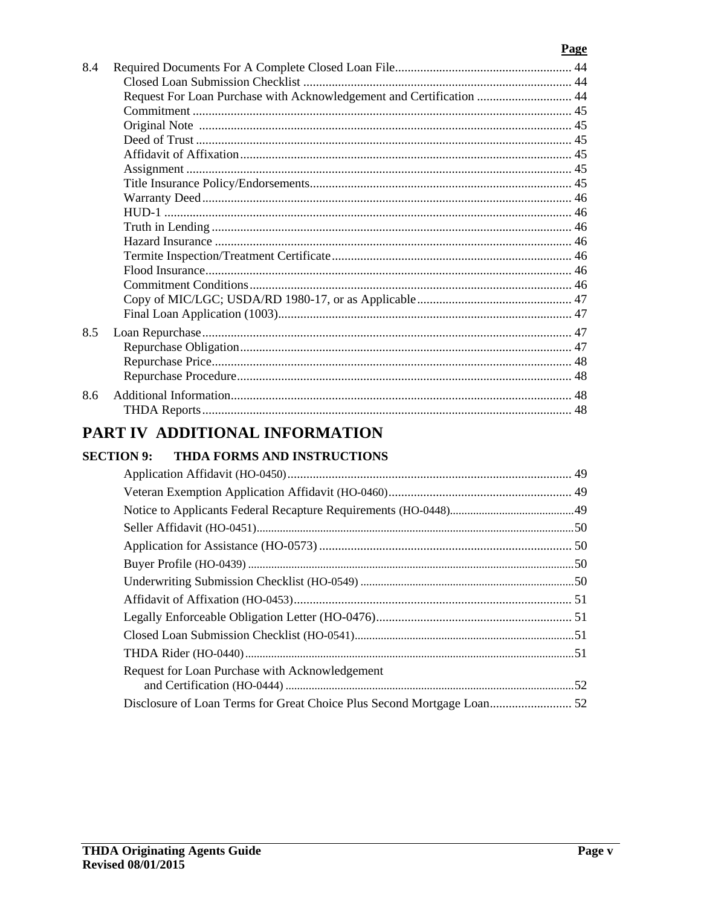#### Page

|     | PART IV ADDITIONAL INFORMATION                                       |  |
|-----|----------------------------------------------------------------------|--|
|     |                                                                      |  |
| 8.6 |                                                                      |  |
|     |                                                                      |  |
|     |                                                                      |  |
| 8.5 |                                                                      |  |
|     |                                                                      |  |
|     |                                                                      |  |
|     |                                                                      |  |
|     |                                                                      |  |
|     |                                                                      |  |
|     |                                                                      |  |
|     |                                                                      |  |
|     |                                                                      |  |
|     |                                                                      |  |
|     |                                                                      |  |
|     |                                                                      |  |
|     |                                                                      |  |
|     |                                                                      |  |
|     |                                                                      |  |
|     |                                                                      |  |
|     | Request For Loan Purchase with Acknowledgement and Certification  44 |  |
|     |                                                                      |  |
| 8.4 |                                                                      |  |

| Request for Loan Purchase with Acknowledgement                         |  |
|------------------------------------------------------------------------|--|
|                                                                        |  |
| Disclosure of Loan Terms for Great Choice Plus Second Mortgage Loan 52 |  |
|                                                                        |  |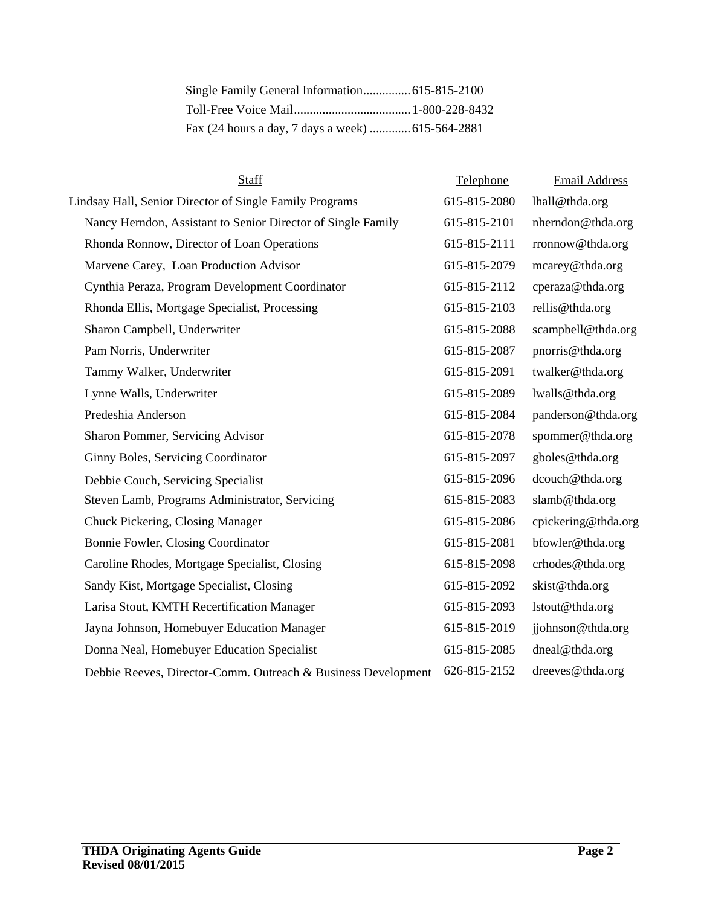| Fax (24 hours a day, 7 days a week)  615-564-2881 |  |
|---------------------------------------------------|--|

| Staff                                                         | Telephone    | <b>Email Address</b> |
|---------------------------------------------------------------|--------------|----------------------|
| Lindsay Hall, Senior Director of Single Family Programs       | 615-815-2080 | lhall@thda.org       |
| Nancy Herndon, Assistant to Senior Director of Single Family  | 615-815-2101 | nherndon@thda.org    |
| Rhonda Ronnow, Director of Loan Operations                    | 615-815-2111 | rronnow@thda.org     |
| Marvene Carey, Loan Production Advisor                        | 615-815-2079 | mcarey@thda.org      |
| Cynthia Peraza, Program Development Coordinator               | 615-815-2112 | cperaza@thda.org     |
| Rhonda Ellis, Mortgage Specialist, Processing                 | 615-815-2103 | rellis@thda.org      |
| Sharon Campbell, Underwriter                                  | 615-815-2088 | scampbell@thda.org   |
| Pam Norris, Underwriter                                       | 615-815-2087 | pnorris@thda.org     |
| Tammy Walker, Underwriter                                     | 615-815-2091 | twalker@thda.org     |
| Lynne Walls, Underwriter                                      | 615-815-2089 | lwalls@thda.org      |
| Predeshia Anderson                                            | 615-815-2084 | panderson@thda.org   |
| Sharon Pommer, Servicing Advisor                              | 615-815-2078 | spommer@thda.org     |
| Ginny Boles, Servicing Coordinator                            | 615-815-2097 | gboles@thda.org      |
| Debbie Couch, Servicing Specialist                            | 615-815-2096 | dcouch@thda.org      |
| Steven Lamb, Programs Administrator, Servicing                | 615-815-2083 | slamb@thda.org       |
| Chuck Pickering, Closing Manager                              | 615-815-2086 | cpickering@thda.org  |
| Bonnie Fowler, Closing Coordinator                            | 615-815-2081 | bfowler@thda.org     |
| Caroline Rhodes, Mortgage Specialist, Closing                 | 615-815-2098 | crhodes@thda.org     |
| Sandy Kist, Mortgage Specialist, Closing                      | 615-815-2092 | skist@thda.org       |
| Larisa Stout, KMTH Recertification Manager                    | 615-815-2093 | lstout@thda.org      |
| Jayna Johnson, Homebuyer Education Manager                    | 615-815-2019 | jjohnson@thda.org    |
| Donna Neal, Homebuyer Education Specialist                    | 615-815-2085 | dneal@thda.org       |
| Debbie Reeves, Director-Comm. Outreach & Business Development | 626-815-2152 | dreeves@thda.org     |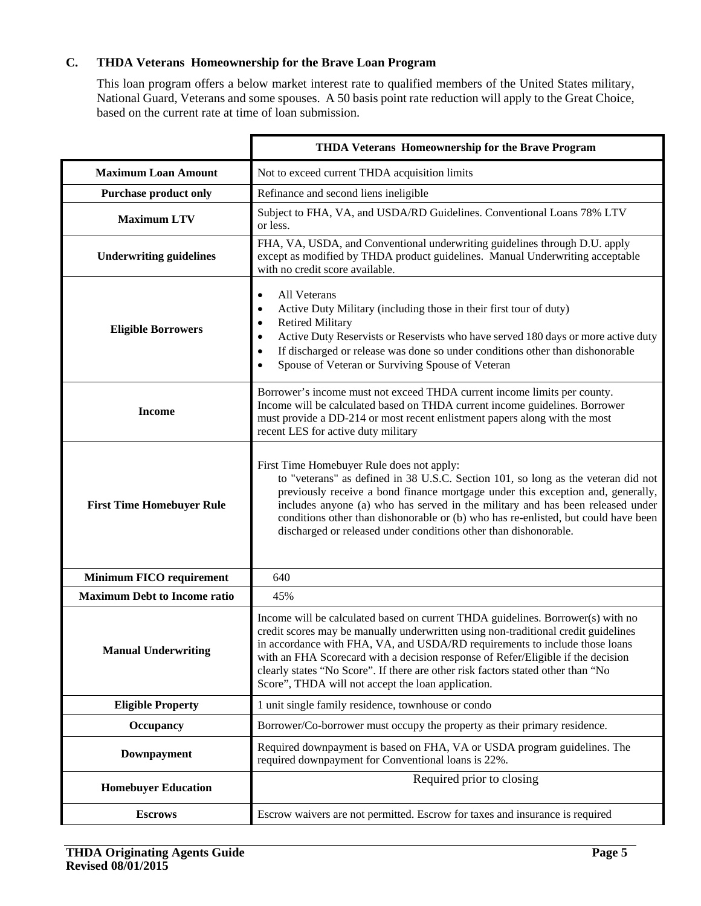#### **C. THDA Veterans Homeownership for the Brave Loan Program**

This loan program offers a below market interest rate to qualified members of the United States military, National Guard, Veterans and some spouses. A 50 basis point rate reduction will apply to the Great Choice, based on the current rate at time of loan submission.

|                                     | THDA Veterans Homeownership for the Brave Program                                                                                                                                                                                                                                                                                                                                                                                                                                  |
|-------------------------------------|------------------------------------------------------------------------------------------------------------------------------------------------------------------------------------------------------------------------------------------------------------------------------------------------------------------------------------------------------------------------------------------------------------------------------------------------------------------------------------|
| <b>Maximum Loan Amount</b>          | Not to exceed current THDA acquisition limits                                                                                                                                                                                                                                                                                                                                                                                                                                      |
| <b>Purchase product only</b>        | Refinance and second liens ineligible                                                                                                                                                                                                                                                                                                                                                                                                                                              |
| <b>Maximum LTV</b>                  | Subject to FHA, VA, and USDA/RD Guidelines. Conventional Loans 78% LTV<br>or less.                                                                                                                                                                                                                                                                                                                                                                                                 |
| <b>Underwriting guidelines</b>      | FHA, VA, USDA, and Conventional underwriting guidelines through D.U. apply<br>except as modified by THDA product guidelines. Manual Underwriting acceptable<br>with no credit score available.                                                                                                                                                                                                                                                                                     |
| <b>Eligible Borrowers</b>           | All Veterans<br>Active Duty Military (including those in their first tour of duty)<br><b>Retired Military</b><br>Active Duty Reservists or Reservists who have served 180 days or more active duty<br>If discharged or release was done so under conditions other than dishonorable<br>Spouse of Veteran or Surviving Spouse of Veteran                                                                                                                                            |
| <b>Income</b>                       | Borrower's income must not exceed THDA current income limits per county.<br>Income will be calculated based on THDA current income guidelines. Borrower<br>must provide a DD-214 or most recent enlistment papers along with the most<br>recent LES for active duty military                                                                                                                                                                                                       |
| <b>First Time Homebuyer Rule</b>    | First Time Homebuyer Rule does not apply:<br>to "veterans" as defined in 38 U.S.C. Section 101, so long as the veteran did not<br>previously receive a bond finance mortgage under this exception and, generally,<br>includes anyone (a) who has served in the military and has been released under<br>conditions other than dishonorable or (b) who has re-enlisted, but could have been<br>discharged or released under conditions other than dishonorable.                      |
| <b>Minimum FICO requirement</b>     | 640                                                                                                                                                                                                                                                                                                                                                                                                                                                                                |
| <b>Maximum Debt to Income ratio</b> | 45%                                                                                                                                                                                                                                                                                                                                                                                                                                                                                |
| <b>Manual Underwriting</b>          | Income will be calculated based on current THDA guidelines. Borrower(s) with no<br>credit scores may be manually underwritten using non-traditional credit guidelines<br>in accordance with FHA, VA, and USDA/RD requirements to include those loans<br>with an FHA Scorecard with a decision response of Refer/Eligible if the decision<br>clearly states "No Score". If there are other risk factors stated other than "No<br>Score", THDA will not accept the loan application. |
| <b>Eligible Property</b>            | 1 unit single family residence, townhouse or condo                                                                                                                                                                                                                                                                                                                                                                                                                                 |
| Occupancy                           | Borrower/Co-borrower must occupy the property as their primary residence.                                                                                                                                                                                                                                                                                                                                                                                                          |
| Downpayment                         | Required downpayment is based on FHA, VA or USDA program guidelines. The<br>required downpayment for Conventional loans is 22%.                                                                                                                                                                                                                                                                                                                                                    |
| <b>Homebuyer Education</b>          | Required prior to closing                                                                                                                                                                                                                                                                                                                                                                                                                                                          |
| <b>Escrows</b>                      | Escrow waivers are not permitted. Escrow for taxes and insurance is required                                                                                                                                                                                                                                                                                                                                                                                                       |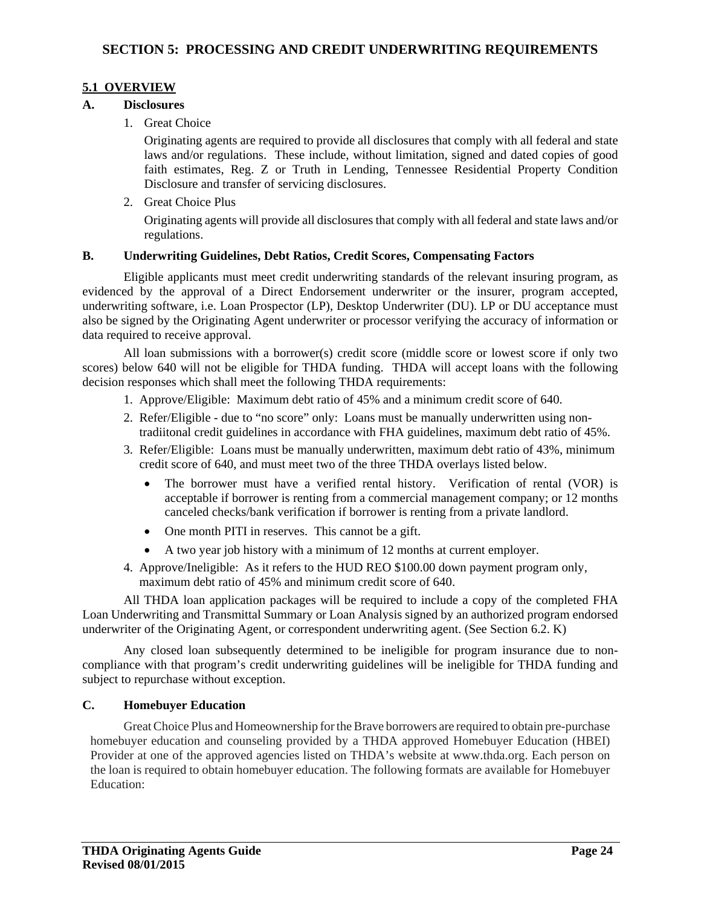#### **5.1 OVERVIEW**

#### **A. Disclosures**

1. Great Choice

Originating agents are required to provide all disclosures that comply with all federal and state laws and/or regulations. These include, without limitation, signed and dated copies of good faith estimates, Reg. Z or Truth in Lending, Tennessee Residential Property Condition Disclosure and transfer of servicing disclosures.

2. Great Choice Plus

Originating agents will provide all disclosures that comply with all federal and state laws and/or regulations.

#### **B. Underwriting Guidelines, Debt Ratios, Credit Scores, Compensating Factors**

Eligible applicants must meet credit underwriting standards of the relevant insuring program, as evidenced by the approval of a Direct Endorsement underwriter or the insurer, program accepted, underwriting software, i.e. Loan Prospector (LP), Desktop Underwriter (DU). LP or DU acceptance must also be signed by the Originating Agent underwriter or processor verifying the accuracy of information or data required to receive approval.

All loan submissions with a borrower(s) credit score (middle score or lowest score if only two scores) below 640 will not be eligible for THDA funding. THDA will accept loans with the following decision responses which shall meet the following THDA requirements:

- 1. Approve/Eligible: Maximum debt ratio of 45% and a minimum credit score of 640.
- 2. Refer/Eligible due to "no score" only: Loans must be manually underwritten using non tradiitonal credit guidelines in accordance with FHA guidelines, maximum debt ratio of 45%.
- 3. Refer/Eligible: Loans must be manually underwritten, maximum debt ratio of 43%, minimum credit score of 640, and must meet two of the three THDA overlays listed below.
	- The borrower must have a verified rental history. Verification of rental (VOR) is acceptable if borrower is renting from a commercial management company; or 12 months canceled checks/bank verification if borrower is renting from a private landlord.
	- One month PITI in reserves. This cannot be a gift.
	- A two year job history with a minimum of 12 months at current employer.
- 4. Approve/Ineligible: As it refers to the HUD REO \$100.00 down payment program only, maximum debt ratio of 45% and minimum credit score of 640.

All THDA loan application packages will be required to include a copy of the completed FHA Loan Underwriting and Transmittal Summary or Loan Analysis signed by an authorized program endorsed underwriter of the Originating Agent, or correspondent underwriting agent. (See Section 6.2. K)

Any closed loan subsequently determined to be ineligible for program insurance due to noncompliance with that program's credit underwriting guidelines will be ineligible for THDA funding and subject to repurchase without exception.

#### **C. Homebuyer Education**

 Great Choice Plus and Homeownership for the Brave borrowers are required to obtain pre-purchase homebuyer education and counseling provided by a THDA approved Homebuyer Education (HBEI) Provider at one of the approved agencies listed on THDA's website at www.thda.org. Each person on the loan is required to obtain homebuyer education. The following formats are available for Homebuyer Education: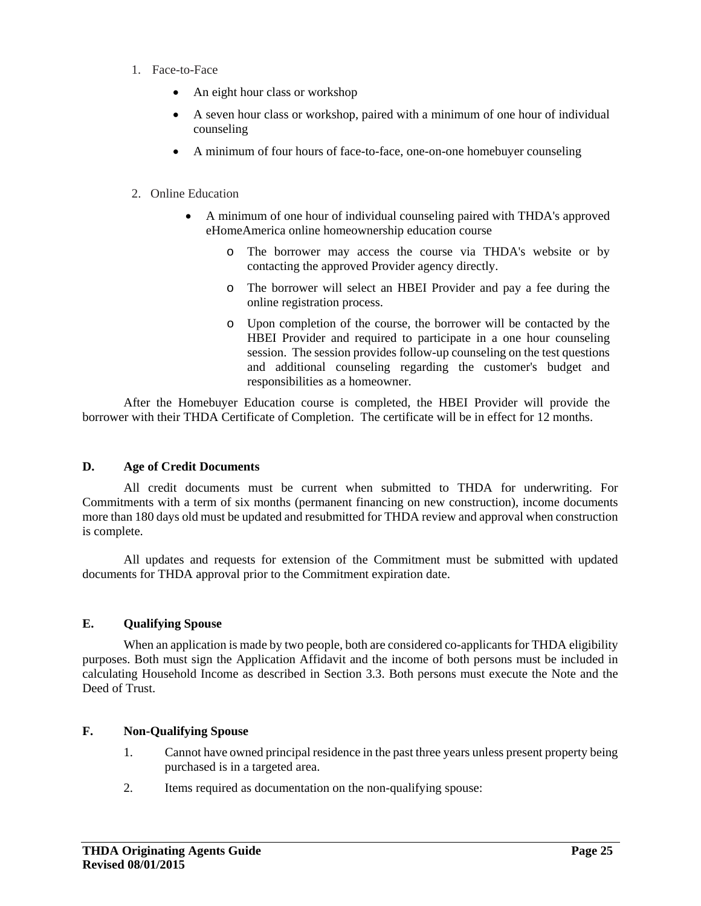- 1. Face-to-Face
	- An eight hour class or workshop
	- A seven hour class or workshop, paired with a minimum of one hour of individual counseling
	- A minimum of four hours of face-to-face, one-on-one homebuyer counseling

#### 2. Online Education

- A minimum of one hour of individual counseling paired with THDA's approved eHomeAmerica online homeownership education course
	- o The borrower may access the course via THDA's website or by contacting the approved Provider agency directly.
	- o The borrower will select an HBEI Provider and pay a fee during the online registration process.
	- o Upon completion of the course, the borrower will be contacted by the HBEI Provider and required to participate in a one hour counseling session. The session provides follow-up counseling on the test questions and additional counseling regarding the customer's budget and responsibilities as a homeowner.

 After the Homebuyer Education course is completed, the HBEI Provider will provide the borrower with their THDA Certificate of Completion. The certificate will be in effect for 12 months.

#### **D. Age of Credit Documents**

All credit documents must be current when submitted to THDA for underwriting. For Commitments with a term of six months (permanent financing on new construction), income documents more than 180 days old must be updated and resubmitted for THDA review and approval when construction is complete.

All updates and requests for extension of the Commitment must be submitted with updated documents for THDA approval prior to the Commitment expiration date.

#### **E. Qualifying Spouse**

When an application is made by two people, both are considered co-applicants for THDA eligibility purposes. Both must sign the Application Affidavit and the income of both persons must be included in calculating Household Income as described in Section 3.3. Both persons must execute the Note and the Deed of Trust.

#### **F. Non-Qualifying Spouse**

- 1. Cannot have owned principal residence in the past three years unless present property being purchased is in a targeted area.
- 2. Items required as documentation on the non-qualifying spouse: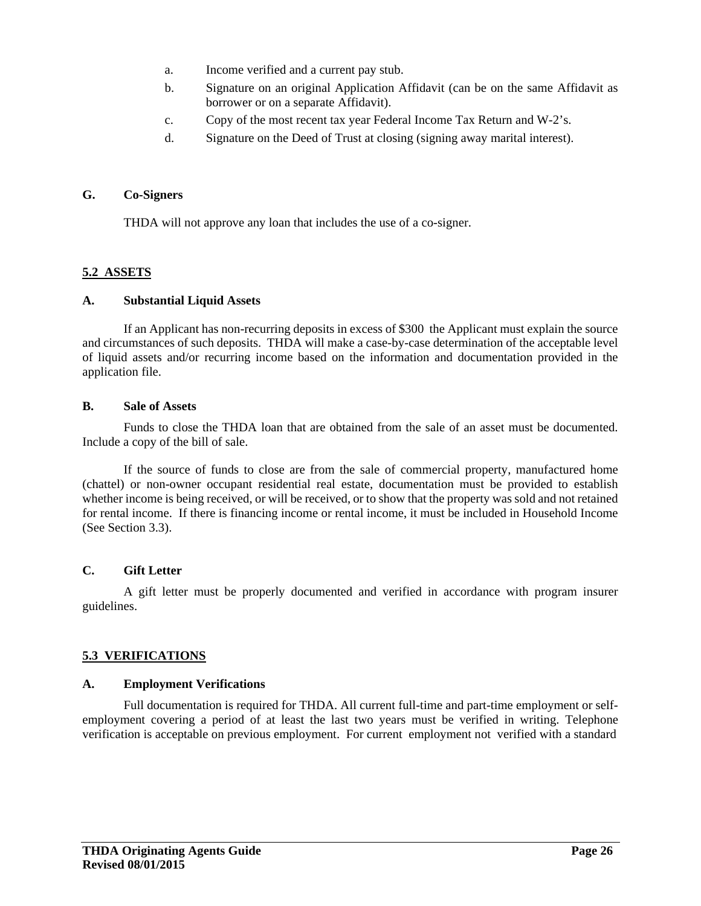- a. Income verified and a current pay stub.
- b. Signature on an original Application Affidavit (can be on the same Affidavit as borrower or on a separate Affidavit).
- c. Copy of the most recent tax year Federal Income Tax Return and W-2's.
- d. Signature on the Deed of Trust at closing (signing away marital interest).

#### **G. Co-Signers**

THDA will not approve any loan that includes the use of a co-signer.

#### **5.2 ASSETS**

#### **A. Substantial Liquid Assets**

If an Applicant has non-recurring deposits in excess of \$300 the Applicant must explain the source and circumstances of such deposits. THDA will make a case-by-case determination of the acceptable level of liquid assets and/or recurring income based on the information and documentation provided in the application file.

#### **B. Sale of Assets**

Funds to close the THDA loan that are obtained from the sale of an asset must be documented. Include a copy of the bill of sale.

If the source of funds to close are from the sale of commercial property, manufactured home (chattel) or non-owner occupant residential real estate, documentation must be provided to establish whether income is being received, or will be received, or to show that the property was sold and not retained for rental income. If there is financing income or rental income, it must be included in Household Income (See Section 3.3).

#### **C. Gift Letter**

A gift letter must be properly documented and verified in accordance with program insurer guidelines.

#### **5.3 VERIFICATIONS**

#### **A. Employment Verifications**

Full documentation is required for THDA. All current full-time and part-time employment or selfemployment covering a period of at least the last two years must be verified in writing. Telephone verification is acceptable on previous employment. For current employment not verified with a standard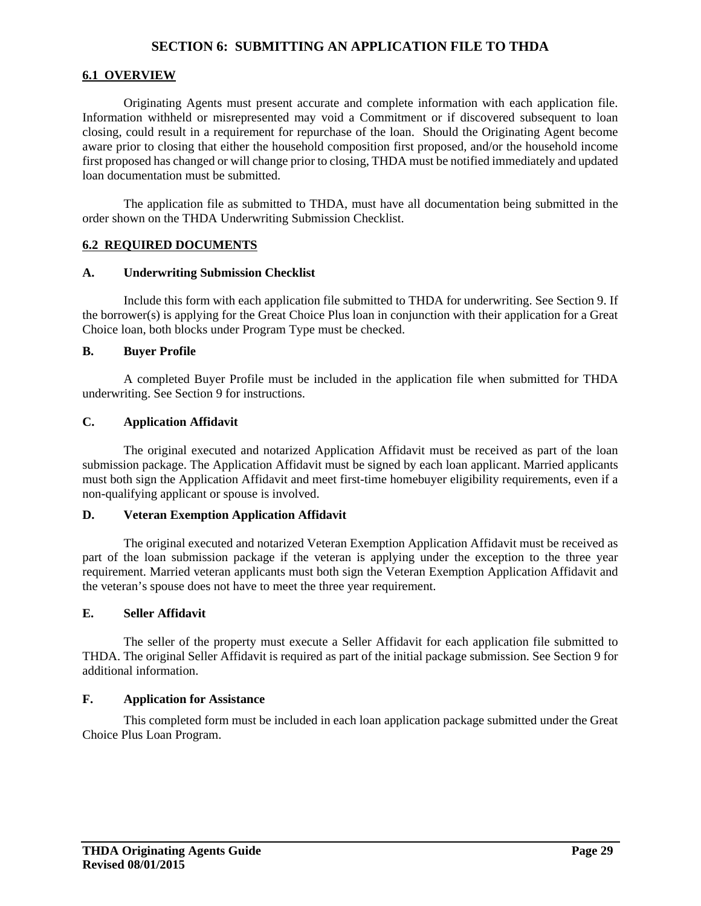#### **SECTION 6: SUBMITTING AN APPLICATION FILE TO THDA**

#### **6.1 OVERVIEW**

Originating Agents must present accurate and complete information with each application file. Information withheld or misrepresented may void a Commitment or if discovered subsequent to loan closing, could result in a requirement for repurchase of the loan. Should the Originating Agent become aware prior to closing that either the household composition first proposed, and/or the household income first proposed has changed or will change prior to closing, THDA must be notified immediately and updated loan documentation must be submitted.

The application file as submitted to THDA, must have all documentation being submitted in the order shown on the THDA Underwriting Submission Checklist.

#### **6.2 REQUIRED DOCUMENTS**

#### **A. Underwriting Submission Checklist**

Include this form with each application file submitted to THDA for underwriting. See Section 9. If the borrower(s) is applying for the Great Choice Plus loan in conjunction with their application for a Great Choice loan, both blocks under Program Type must be checked.

#### **B. Buyer Profile**

A completed Buyer Profile must be included in the application file when submitted for THDA underwriting. See Section 9 for instructions.

#### **C. Application Affidavit**

The original executed and notarized Application Affidavit must be received as part of the loan submission package. The Application Affidavit must be signed by each loan applicant. Married applicants must both sign the Application Affidavit and meet first-time homebuyer eligibility requirements, even if a non-qualifying applicant or spouse is involved.

#### **D. Veteran Exemption Application Affidavit**

The original executed and notarized Veteran Exemption Application Affidavit must be received as part of the loan submission package if the veteran is applying under the exception to the three year requirement. Married veteran applicants must both sign the Veteran Exemption Application Affidavit and the veteran's spouse does not have to meet the three year requirement.

#### **E. Seller Affidavit**

The seller of the property must execute a Seller Affidavit for each application file submitted to THDA. The original Seller Affidavit is required as part of the initial package submission. See Section 9 for additional information.

#### **F. Application for Assistance**

This completed form must be included in each loan application package submitted under the Great Choice Plus Loan Program.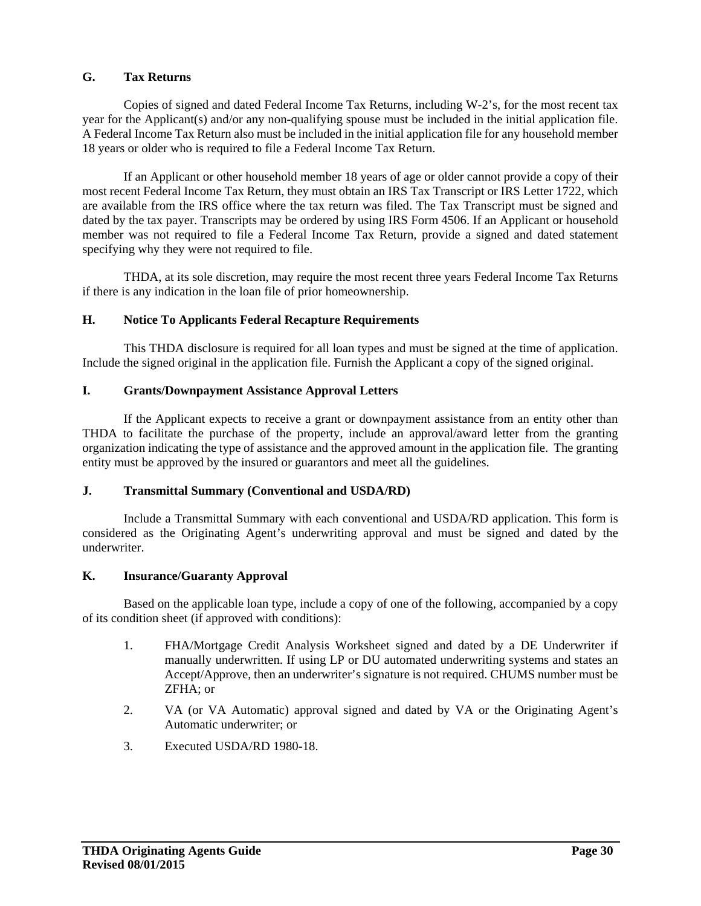#### **G. Tax Returns**

Copies of signed and dated Federal Income Tax Returns, including W-2's, for the most recent tax year for the Applicant(s) and/or any non-qualifying spouse must be included in the initial application file. A Federal Income Tax Return also must be included in the initial application file for any household member 18 years or older who is required to file a Federal Income Tax Return.

If an Applicant or other household member 18 years of age or older cannot provide a copy of their most recent Federal Income Tax Return, they must obtain an IRS Tax Transcript or IRS Letter 1722, which are available from the IRS office where the tax return was filed. The Tax Transcript must be signed and dated by the tax payer. Transcripts may be ordered by using IRS Form 4506. If an Applicant or household member was not required to file a Federal Income Tax Return, provide a signed and dated statement specifying why they were not required to file.

THDA, at its sole discretion, may require the most recent three years Federal Income Tax Returns if there is any indication in the loan file of prior homeownership.

#### **H. Notice To Applicants Federal Recapture Requirements**

This THDA disclosure is required for all loan types and must be signed at the time of application. Include the signed original in the application file. Furnish the Applicant a copy of the signed original.

#### **I. Grants/Downpayment Assistance Approval Letters**

If the Applicant expects to receive a grant or downpayment assistance from an entity other than THDA to facilitate the purchase of the property, include an approval/award letter from the granting organization indicating the type of assistance and the approved amount in the application file. The granting entity must be approved by the insured or guarantors and meet all the guidelines.

#### **J. Transmittal Summary (Conventional and USDA/RD)**

Include a Transmittal Summary with each conventional and USDA/RD application. This form is considered as the Originating Agent's underwriting approval and must be signed and dated by the underwriter.

#### **K. Insurance/Guaranty Approval**

Based on the applicable loan type, include a copy of one of the following, accompanied by a copy of its condition sheet (if approved with conditions):

- 1. FHA/Mortgage Credit Analysis Worksheet signed and dated by a DE Underwriter if manually underwritten. If using LP or DU automated underwriting systems and states an Accept/Approve, then an underwriter's signature is not required. CHUMS number must be ZFHA; or
- 2. VA (or VA Automatic) approval signed and dated by VA or the Originating Agent's Automatic underwriter; or
- 3. Executed USDA/RD 1980-18.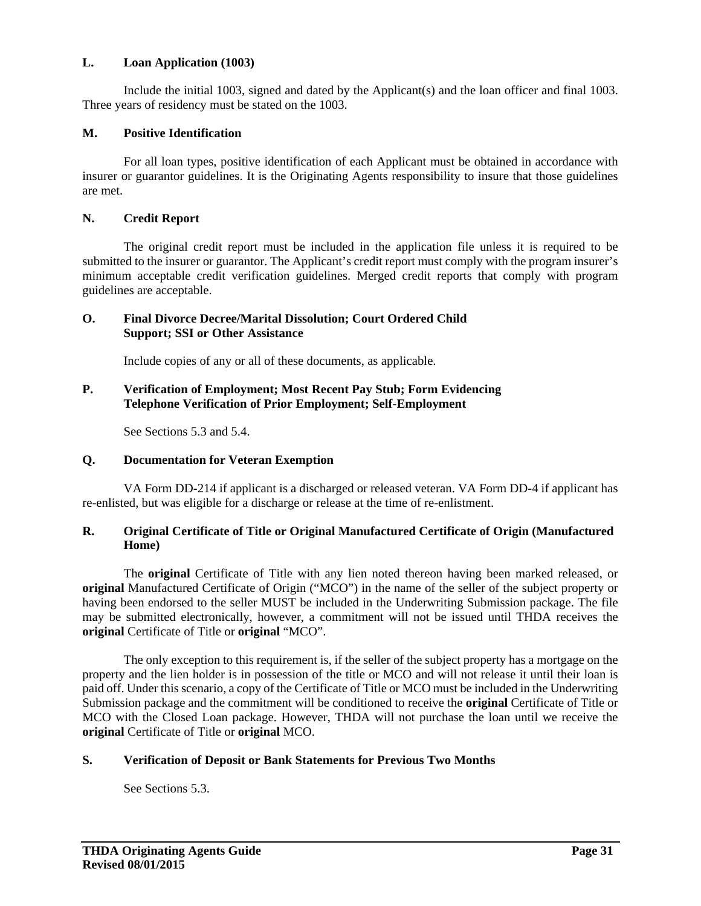#### **L. Loan Application (1003)**

Include the initial 1003, signed and dated by the Applicant(s) and the loan officer and final 1003. Three years of residency must be stated on the 1003.

#### **M. Positive Identification**

For all loan types, positive identification of each Applicant must be obtained in accordance with insurer or guarantor guidelines. It is the Originating Agents responsibility to insure that those guidelines are met.

#### **N. Credit Report**

The original credit report must be included in the application file unless it is required to be submitted to the insurer or guarantor. The Applicant's credit report must comply with the program insurer's minimum acceptable credit verification guidelines. Merged credit reports that comply with program guidelines are acceptable.

#### **O. Final Divorce Decree/Marital Dissolution; Court Ordered Child Support; SSI or Other Assistance**

Include copies of any or all of these documents, as applicable.

#### **P. Verification of Employment; Most Recent Pay Stub; Form Evidencing Telephone Verification of Prior Employment; Self-Employment**

See Sections 5.3 and 5.4.

#### **Q. Documentation for Veteran Exemption**

VA Form DD-214 if applicant is a discharged or released veteran. VA Form DD-4 if applicant has re-enlisted, but was eligible for a discharge or release at the time of re-enlistment.

#### **R. Original Certificate of Title or Original Manufactured Certificate of Origin (Manufactured Home)**

 The **original** Certificate of Title with any lien noted thereon having been marked released, or **original** Manufactured Certificate of Origin ("MCO") in the name of the seller of the subject property or having been endorsed to the seller MUST be included in the Underwriting Submission package. The file may be submitted electronically, however, a commitment will not be issued until THDA receives the **original** Certificate of Title or **original** "MCO".

 The only exception to this requirement is, if the seller of the subject property has a mortgage on the property and the lien holder is in possession of the title or MCO and will not release it until their loan is paid off. Under this scenario, a copy of the Certificate of Title or MCO must be included in the Underwriting Submission package and the commitment will be conditioned to receive the **original** Certificate of Title or MCO with the Closed Loan package. However, THDA will not purchase the loan until we receive the **original** Certificate of Title or **original** MCO.

#### **S. Verification of Deposit or Bank Statements for Previous Two Months**

See Sections 5.3.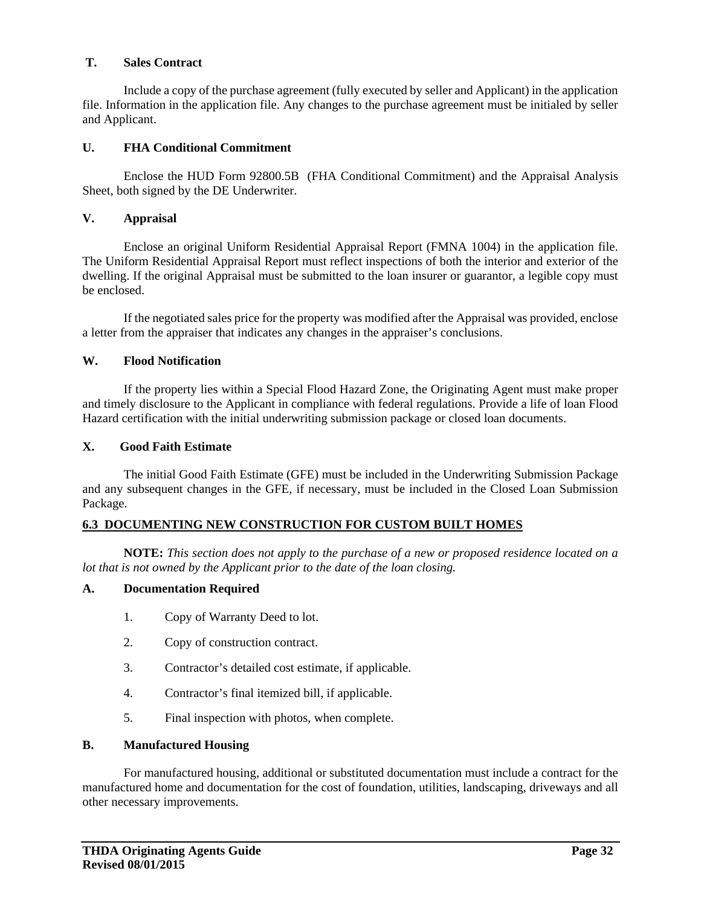#### **T. Sales Contract**

Include a copy of the purchase agreement (fully executed by seller and Applicant) in the application file. Information in the application file. Any changes to the purchase agreement must be initialed by seller and Applicant.

#### **U. FHA Conditional Commitment**

Enclose the HUD Form 92800.5B (FHA Conditional Commitment) and the Appraisal Analysis Sheet, both signed by the DE Underwriter.

#### **V. Appraisal**

Enclose an original Uniform Residential Appraisal Report (FMNA 1004) in the application file. The Uniform Residential Appraisal Report must reflect inspections of both the interior and exterior of the dwelling. If the original Appraisal must be submitted to the loan insurer or guarantor, a legible copy must be enclosed.

If the negotiated sales price for the property was modified after the Appraisal was provided, enclose a letter from the appraiser that indicates any changes in the appraiser's conclusions.

#### **W. Flood Notification**

If the property lies within a Special Flood Hazard Zone, the Originating Agent must make proper and timely disclosure to the Applicant in compliance with federal regulations. Provide a life of loan Flood Hazard certification with the initial underwriting submission package or closed loan documents.

#### **X. Good Faith Estimate**

 The initial Good Faith Estimate (GFE) must be included in the Underwriting Submission Package and any subsequent changes in the GFE, if necessary, must be included in the Closed Loan Submission Package.

#### **6.3 DOCUMENTING NEW CONSTRUCTION FOR CUSTOM BUILT HOMES**

**NOTE:** *This section does not apply to the purchase of a new or proposed residence located on a lot that is not owned by the Applicant prior to the date of the loan closing.* 

#### **A. Documentation Required**

- 1. Copy of Warranty Deed to lot.
- 2. Copy of construction contract.
- 3. Contractor's detailed cost estimate, if applicable.
- 4. Contractor's final itemized bill, if applicable.
- 5. Final inspection with photos, when complete.

#### **B. Manufactured Housing**

For manufactured housing, additional or substituted documentation must include a contract for the manufactured home and documentation for the cost of foundation, utilities, landscaping, driveways and all other necessary improvements.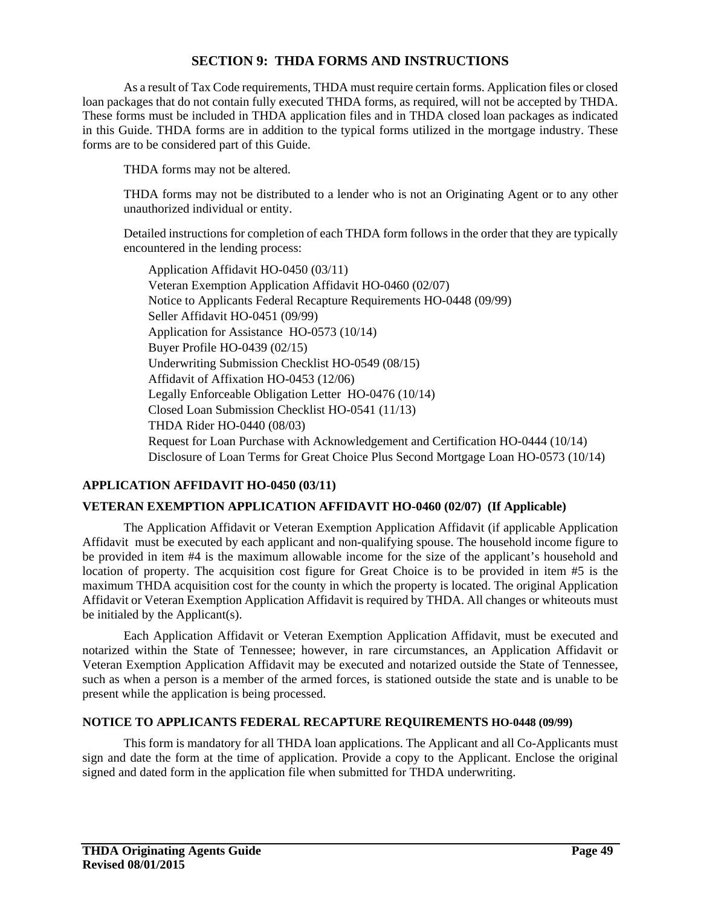#### **SECTION 9: THDA FORMS AND INSTRUCTIONS**

As a result of Tax Code requirements, THDA must require certain forms. Application files or closed loan packages that do not contain fully executed THDA forms, as required, will not be accepted by THDA. These forms must be included in THDA application files and in THDA closed loan packages as indicated in this Guide. THDA forms are in addition to the typical forms utilized in the mortgage industry. These forms are to be considered part of this Guide.

THDA forms may not be altered.

THDA forms may not be distributed to a lender who is not an Originating Agent or to any other unauthorized individual or entity.

Detailed instructions for completion of each THDA form follows in the order that they are typically encountered in the lending process:

Application Affidavit HO-0450 (03/11) Veteran Exemption Application Affidavit HO-0460 (02/07) Notice to Applicants Federal Recapture Requirements HO-0448 (09/99) Seller Affidavit HO-0451 (09/99) Application for Assistance HO-0573 (10/14) Buyer Profile HO-0439 (02/15) Underwriting Submission Checklist HO-0549 (08/15) Affidavit of Affixation HO-0453 (12/06) Legally Enforceable Obligation Letter HO-0476 (10/14) Closed Loan Submission Checklist HO-0541 (11/13) THDA Rider HO-0440 (08/03) Request for Loan Purchase with Acknowledgement and Certification HO-0444 (10/14) Disclosure of Loan Terms for Great Choice Plus Second Mortgage Loan HO-0573 (10/14)

#### **APPLICATION AFFIDAVIT HO-0450 (03/11)**

#### **VETERAN EXEMPTION APPLICATION AFFIDAVIT HO-0460 (02/07) (If Applicable)**

The Application Affidavit or Veteran Exemption Application Affidavit (if applicable Application Affidavit must be executed by each applicant and non-qualifying spouse. The household income figure to be provided in item #4 is the maximum allowable income for the size of the applicant's household and location of property. The acquisition cost figure for Great Choice is to be provided in item #5 is the maximum THDA acquisition cost for the county in which the property is located. The original Application Affidavit or Veteran Exemption Application Affidavit is required by THDA. All changes or whiteouts must be initialed by the Applicant(s).

Each Application Affidavit or Veteran Exemption Application Affidavit, must be executed and notarized within the State of Tennessee; however, in rare circumstances, an Application Affidavit or Veteran Exemption Application Affidavit may be executed and notarized outside the State of Tennessee, such as when a person is a member of the armed forces, is stationed outside the state and is unable to be present while the application is being processed.

#### **NOTICE TO APPLICANTS FEDERAL RECAPTURE REQUIREMENTS HO-0448 (09/99)**

This form is mandatory for all THDA loan applications. The Applicant and all Co-Applicants must sign and date the form at the time of application. Provide a copy to the Applicant. Enclose the original signed and dated form in the application file when submitted for THDA underwriting.